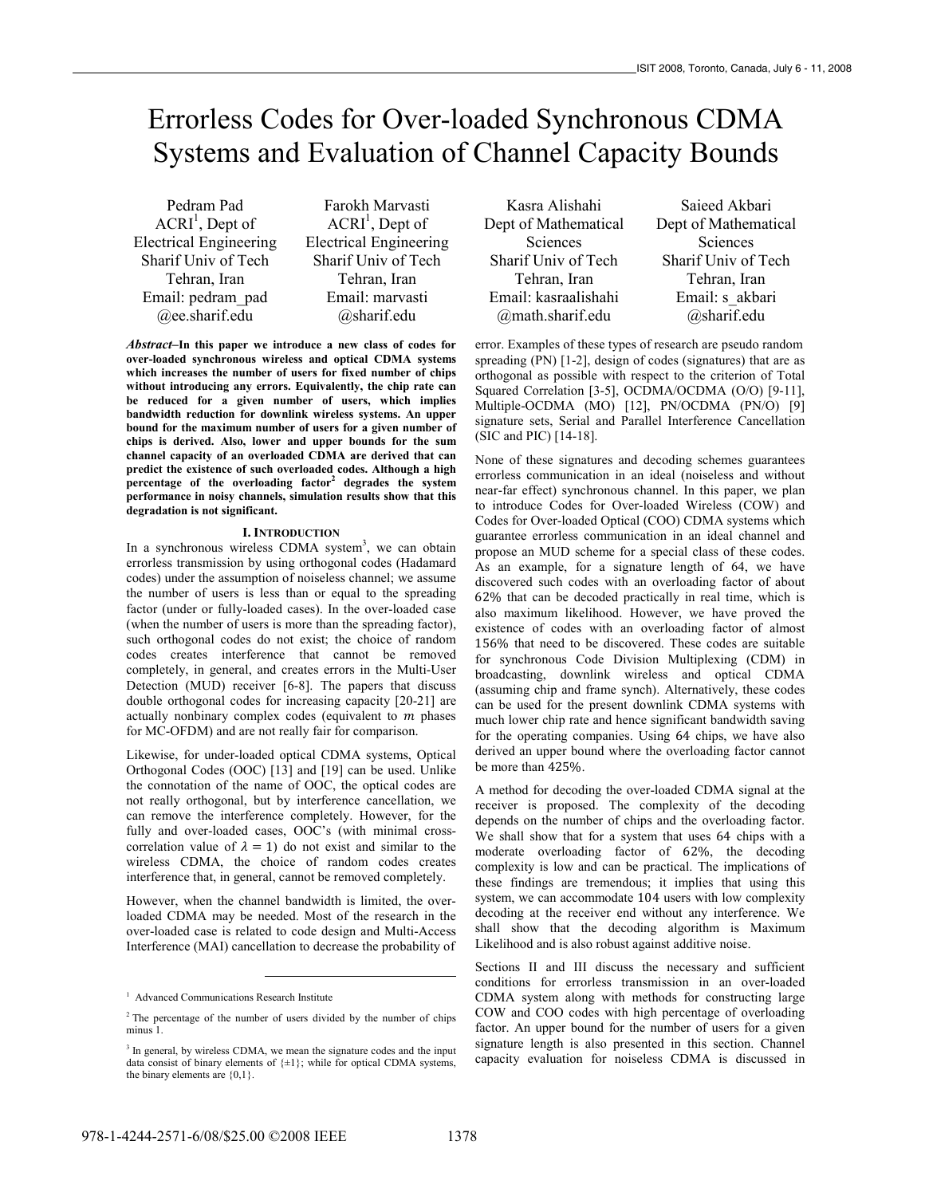# Errorless Codes for Over-loaded Synchronous CDMA Systems and Evaluation of Channel Capacity Bounds

Pedram Pad  $ACRI<sup>1</sup>$ , Dept of Electrical Engineering Sharif Univ of Tech Tehran, Iran Email: pedram\_pad @ee.sharif.edu

Farokh Marvasti  $ACRI<sup>1</sup>$ , Dept of Electrical Engineering Sharif Univ of Tech Tehran, Iran Email: marvasti @sharif.edu

*Abstract–***In this paper we introduce a new class of codes for over-loaded synchronous wireless and optical CDMA systems which increases the number of users for fixed number of chips without introducing any errors. Equivalently, the chip rate can be reduced for a given number of users, which implies bandwidth reduction for downlink wireless systems. An upper bound for the maximum number of users for a given number of chips is derived. Also, lower and upper bounds for the sum channel capacity of an overloaded CDMA are derived that can predict the existence of such overloaded codes. Although a high percentage of the overloading factor<sup>2</sup> degrades the system performance in noisy channels, simulation results show that this degradation is not significant.** 

#### **I. INTRODUCTION**

In a synchronous wireless CDMA system<sup>3</sup>, we can obtain errorless transmission by using orthogonal codes (Hadamard codes) under the assumption of noiseless channel; we assume the number of users is less than or equal to the spreading factor (under or fully-loaded cases). In the over-loaded case (when the number of users is more than the spreading factor), such orthogonal codes do not exist; the choice of random codes creates interference that cannot be removed completely, in general, and creates errors in the Multi-User Detection (MUD) receiver [6-8]. The papers that discuss double orthogonal codes for increasing capacity [20-21] are actually nonbinary complex codes (equivalent to  $m$  phases for MC-OFDM) and are not really fair for comparison.

Likewise, for under-loaded optical CDMA systems, Optical Orthogonal Codes (OOC) [13] and [19] can be used. Unlike the connotation of the name of OOC, the optical codes are not really orthogonal, but by interference cancellation, we can remove the interference completely. However, for the fully and over-loaded cases, OOC's (with minimal crosscorrelation value of  $\lambda = 1$ ) do not exist and similar to the wireless CDMA, the choice of random codes creates interference that, in general, cannot be removed completely.

However, when the channel bandwidth is limited, the overloaded CDMA may be needed. Most of the research in the over-loaded case is related to code design and Multi-Access Interference (MAI) cancellation to decrease the probability of

 $\overline{a}$ 

Kasra Alishahi Dept of Mathematical Sciences Sharif Univ of Tech Tehran, Iran Email: kasraalishahi @math.sharif.edu

Saieed Akbari Dept of Mathematical Sciences Sharif Univ of Tech Tehran, Iran Email: s\_akbari @sharif.edu

error. Examples of these types of research are pseudo random spreading (PN) [1-2], design of codes (signatures) that are as orthogonal as possible with respect to the criterion of Total Squared Correlation [3-5], OCDMA/OCDMA (O/O) [9-11], Multiple-OCDMA (MO) [12], PN/OCDMA (PN/O) [9] signature sets, Serial and Parallel Interference Cancellation (SIC and PIC) [14-18].

None of these signatures and decoding schemes guarantees errorless communication in an ideal (noiseless and without near-far effect) synchronous channel. In this paper, we plan to introduce Codes for Over-loaded Wireless (COW) and Codes for Over-loaded Optical (COO) CDMA systems which guarantee errorless communication in an ideal channel and propose an MUD scheme for a special class of these codes. As an example, for a signature length of 64, we have discovered such codes with an overloading factor of about 62% that can be decoded practically in real time, which is also maximum likelihood. However, we have proved the existence of codes with an overloading factor of almost 156% that need to be discovered. These codes are suitable for synchronous Code Division Multiplexing (CDM) in broadcasting, downlink wireless and optical CDMA (assuming chip and frame synch). Alternatively, these codes can be used for the present downlink CDMA systems with much lower chip rate and hence significant bandwidth saving for the operating companies. Using 64 chips, we have also derived an upper bound where the overloading factor cannot be more than  $425%$ .

A method for decoding the over-loaded CDMA signal at the receiver is proposed. The complexity of the decoding depends on the number of chips and the overloading factor. We shall show that for a system that uses 64 chips with a moderate overloading factor of  $62\%$ , the decoding complexity is low and can be practical. The implications of these findings are tremendous; it implies that using this system, we can accommodate 104 users with low complexity decoding at the receiver end without any interference. We shall show that the decoding algorithm is Maximum Likelihood and is also robust against additive noise.

Sections II and III discuss the necessary and sufficient conditions for errorless transmission in an over-loaded CDMA system along with methods for constructing large COW and COO codes with high percentage of overloading factor. An upper bound for the number of users for a given signature length is also presented in this section. Channel capacity evaluation for noiseless CDMA is discussed in

<sup>&</sup>lt;sup>1</sup> Advanced Communications Research Institute

<sup>&</sup>lt;sup>2</sup> The percentage of the number of users divided by the number of chips minus 1.

<sup>&</sup>lt;sup>3</sup> In general, by wireless CDMA, we mean the signature codes and the input data consist of binary elements of  $\{\pm 1\}$ ; while for optical CDMA systems, the binary elements are  ${0,1}$ .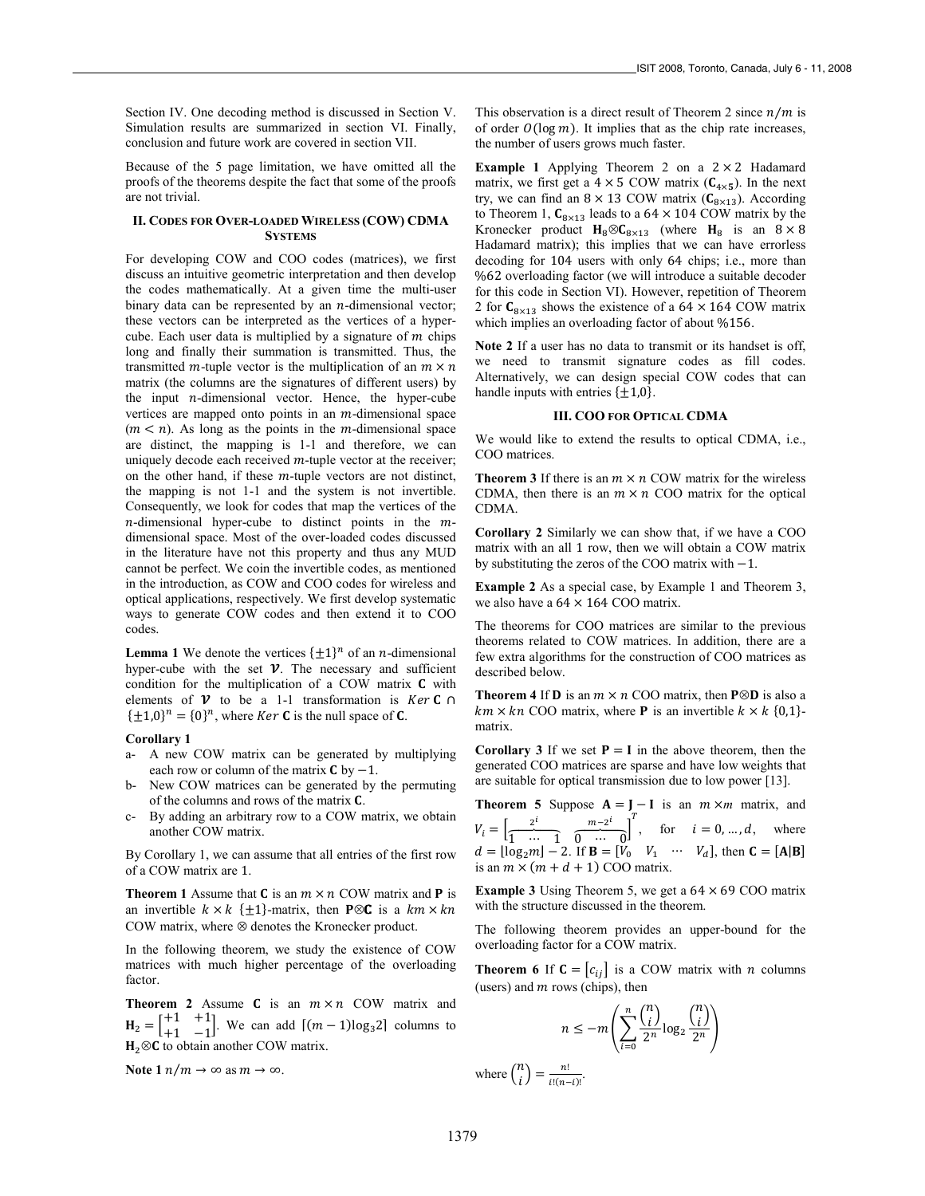Section IV. One decoding method is discussed in Section V. Simulation results are summarized in section VI. Finally, conclusion and future work are covered in section VII.

Because of the 5 page limitation, we have omitted all the proofs of the theorems despite the fact that some of the proofs are not trivial.

# **II. CODES FOR OVER-LOADED WIRELESS (COW) CDMA SYSTEMS**

For developing COW and COO codes (matrices), we first discuss an intuitive geometric interpretation and then develop the codes mathematically. At a given time the multi-user binary data can be represented by an  $n$ -dimensional vector; these vectors can be interpreted as the vertices of a hypercube. Each user data is multiplied by a signature of  $m$  chips long and finally their summation is transmitted. Thus, the transmitted *m*-tuple vector is the multiplication of an  $m \times n$ matrix (the columns are the signatures of different users) by the input  $n$ -dimensional vector. Hence, the hyper-cube vertices are mapped onto points in an  $m$ -dimensional space  $(m < n)$ . As long as the points in the *m*-dimensional space are distinct, the mapping is 1-1 and therefore, we can uniquely decode each received  $m$ -tuple vector at the receiver; on the other hand, if these  $m$ -tuple vectors are not distinct, the mapping is not 1-1 and the system is not invertible. Consequently, we look for codes that map the vertices of the  $n$ -dimensional hyper-cube to distinct points in the  $m$ dimensional space. Most of the over-loaded codes discussed in the literature have not this property and thus any MUD cannot be perfect. We coin the invertible codes, as mentioned in the introduction, as COW and COO codes for wireless and optical applications, respectively. We first develop systematic ways to generate COW codes and then extend it to COO codes.

**Lemma 1** We denote the vertices  $\{\pm 1\}^n$  of an *n*-dimensional hyper-cube with the set  $\nu$ . The necessary and sufficient condition for the multiplication of a COW matrix  $C$  with elements of  $\mathcal V$  to be a 1-1 transformation is *Ker* C  $\cap$  $\{\pm 1,0\}^n = \{0\}^n$ , where *Ker* **C** is the null space of **C**.

## **Corollary 1**

- a- A new COW matrix can be generated by multiplying each row or column of the matrix  $C$  by  $-1$ .
- New COW matrices can be generated by the permuting of the columns and rows of the matrix  $C$ .
- By adding an arbitrary row to a COW matrix, we obtain another COW matrix.

By Corollary 1, we can assume that all entries of the first row of a COW matrix are 1.

**Theorem 1** Assume that **C** is an  $m \times n$  COW matrix and **P** is an invertible  $k \times k$  { $\pm 1$ }-matrix, then **P** $\otimes$ **C** is a  $km \times kn$ COW matrix, where ⊗ denotes the Kronecker product.

In the following theorem, we study the existence of COW matrices with much higher percentage of the overloading factor.

**Theorem 2** Assume  $C$  is an  $m \times n$  COW matrix and  $H_2 = \begin{bmatrix} +1 & +1 \\ +1 & -1 \end{bmatrix}$ . We can add  $[(m-1)\log_3 2]$  columns to  $H_2 \otimes C$  to obtain another COW matrix.

**Note 1**  $n/m \rightarrow \infty$  as  $m \rightarrow \infty$ .

This observation is a direct result of Theorem 2 since  $n/m$  is of order  $O(\log m)$ . It implies that as the chip rate increases, the number of users grows much faster.

**Example 1** Applying Theorem 2 on a  $2 \times 2$  Hadamard matrix, we first get a  $4 \times 5$  COW matrix ( $C_{4 \times 5}$ ). In the next try, we can find an  $8 \times 13$  COW matrix ( $C_{8 \times 13}$ ). According to Theorem 1,  $C_{8\times 13}$  leads to a 64  $\times$  104 COW matrix by the Kronecker product  $H_8 \otimes C_{8 \times 13}$  (where  $H_8$  is an  $8 \times 8$ Hadamard matrix); this implies that we can have errorless decoding for 104 users with only 64 chips; i.e., more than %62 overloading factor (we will introduce a suitable decoder for this code in Section VI). However, repetition of Theorem 2 for  $C_{8\times 13}$  shows the existence of a 64  $\times$  164 COW matrix which implies an overloading factor of about %156.

**Note 2** If a user has no data to transmit or its handset is off, we need to transmit signature codes as fill codes. Alternatively, we can design special COW codes that can handle inputs with entries  $\{\pm 1, 0\}$ .

#### **III. COO FOR OPTICAL CDMA**

We would like to extend the results to optical CDMA, i.e., COO matrices.

**Theorem 3** If there is an  $m \times n$  COW matrix for the wireless CDMA, then there is an  $m \times n$  COO matrix for the optical CDMA.

**Corollary 2** Similarly we can show that, if we have a COO matrix with an all 1 row, then we will obtain a COW matrix by substituting the zeros of the COO matrix with  $-1$ .

**Example 2** As a special case, by Example 1 and Theorem 3, we also have a  $64 \times 164$  COO matrix.

The theorems for COO matrices are similar to the previous theorems related to COW matrices. In addition, there are a few extra algorithms for the construction of COO matrices as described below.

**Theorem 4 If D** is an  $m \times n$  COO matrix, then  $P \otimes D$  is also a  $km \times kn$  COO matrix, where **P** is an invertible  $k \times k$  {0,1}matrix.

**Corollary 3** If we set  $P = I$  in the above theorem, then the generated COO matrices are sparse and have low weights that are suitable for optical transmission due to low power [13].

**Theorem 5** Suppose  $A = \int_{\infty}^{\infty} -I$  is an  $m \times m$  matrix, and  $V_i = \begin{bmatrix} \frac{2^i}{1 & \cdots & 1} \end{bmatrix}$  $\overline{0} \cdots 0$  $\left[\frac{m-2^i}{n}\right]^T$ , for  $i=0,\dots,d$ , where  $d = \lfloor \log_2 m \rfloor - 2$ . If  $\mathbf{B} = \lfloor V_0 \quad V_1 \quad \cdots \quad V_d \rfloor$ , then  $\mathbf{C} = [\mathbf{A} | \mathbf{B}]$ is an  $m \times (m + d + 1)$  COO matrix.

**Example 3** Using Theorem 5, we get a  $64 \times 69$  COO matrix with the structure discussed in the theorem.

The following theorem provides an upper-bound for the overloading factor for a COW matrix.

**Theorem 6** If  $C = [c_{ij}]$  is a COW matrix with *n* columns (users) and  $m$  rows (chips), then

$$
n \leq -m \left( \sum_{i=0}^{n} \frac{\binom{n}{i}}{2^n} \log_2 \frac{\binom{n}{i}}{2^n} \right)
$$

where  $\binom{n}{i}$  $\binom{n}{i} = \frac{n!}{i!(n-i)!}.$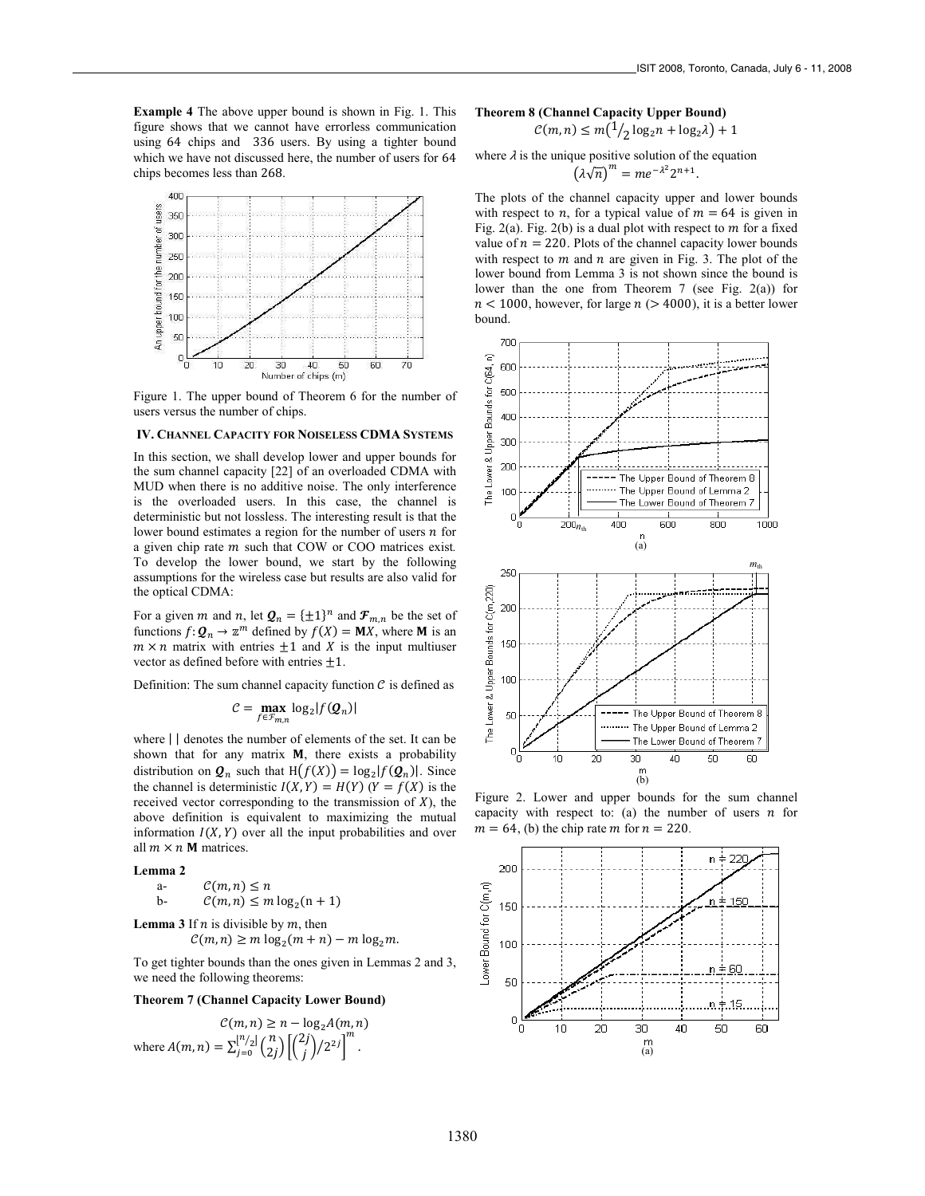**Example 4** The above upper bound is shown in Fig. 1. This figure shows that we cannot have errorless communication using 64 chips and 336 users. By using a tighter bound which we have not discussed here, the number of users for 64 chips becomes less than 268.



Figure 1. The upper bound of Theorem 6 for the number of users versus the number of chips.

# **IV. CHANNEL CAPACITY FOR NOISELESS CDMA SYSTEMS**

In this section, we shall develop lower and upper bounds for the sum channel capacity [22] of an overloaded CDMA with MUD when there is no additive noise. The only interference is the overloaded users. In this case, the channel is deterministic but not lossless. The interesting result is that the lower bound estimates a region for the number of users  $n$  for a given chip rate *m* such that COW or COO matrices exist. To develop the lower bound, we start by the following assumptions for the wireless case but results are also valid for the optical CDMA:

For a given *m* and *n*, let  $Q_n = {\pm 1}^n$  and  $\mathcal{F}_{m,n}$  be the set of functions  $f: \mathbf{Q}_n \to \mathbb{Z}^m$  defined by  $f(X) = \mathbf{M}X$ , where **M** is an  $m \times n$  matrix with entries  $\pm 1$  and  $\chi$  is the input multiuser vector as defined before with entries  $\pm 1$ .

Definition: The sum channel capacity function  $\mathcal C$  is defined as

$$
\mathcal{C} = \max_{f \in \mathcal{F}_{m,n}} \log_2 |f(\mathcal{Q}_n)|
$$

where  $||$  denotes the number of elements of the set. It can be shown that for any matrix  $M$ , there exists a probability distribution on  $\mathbf{Q}_n$  such that  $H(f(X)) = \log_2 |f(\mathbf{Q}_n)|$ . Since the channel is deterministic  $I(X, Y) = H(Y)$   $(Y = f(X)$  is the received vector corresponding to the transmission of  $X$ ), the above definition is equivalent to maximizing the mutual information  $I(X, Y)$  over all the input probabilities and over all  $m \times n$  M matrices.

**Lemma 2** 

a-  $\mathcal{C}(m,n) \leq n$ b-  $C(m, n) \le m \log_2(n + 1)$ 

**Lemma 3** If  $n$  is divisible by  $m$ , then

```
\mathcal{C}(m,n) \geq m \log_2(m+n) - m \log_2 m.
```
To get tighter bounds than the ones given in Lemmas 2 and 3, we need the following theorems:

**Theorem 7 (Channel Capacity Lower Bound)** 

 $\mathcal{C}(m, n) \geq n - \log_2 A(m, n)$ where  $A(m, n) = \sum_{j=0}^{\lfloor n/2 \rfloor} \binom{n}{2j} \left[ \binom{2j}{j} / 2^{2j} \right]^m$ .

#### **Theorem 8 (Channel Capacity Upper Bound)**

$$
C(m, n) \le m\left(\frac{1}{2}\log_2 n + \log_2 \lambda\right) + 1
$$

where 
$$
\lambda
$$
 is the unique positive solution of the equation

$$
\left(\lambda\sqrt{n}\right)^m = me^{-\lambda^2}2^{n+1}.
$$

The plots of the channel capacity upper and lower bounds with respect to *n*, for a typical value of  $m = 64$  is given in Fig. 2(a). Fig. 2(b) is a dual plot with respect to  $m$  for a fixed value of  $n = 220$ . Plots of the channel capacity lower bounds with respect to  $m$  and  $n$  are given in Fig. 3. The plot of the lower bound from Lemma 3 is not shown since the bound is lower than the one from Theorem 7 (see Fig.  $2(a)$ ) for  $n < 1000$ , however, for large  $n (> 4000)$ , it is a better lower bound.



Figure 2. Lower and upper bounds for the sum channel capacity with respect to: (a) the number of users  $n$  for  $m = 64$ , (b) the chip rate *m* for  $n = 220$ .

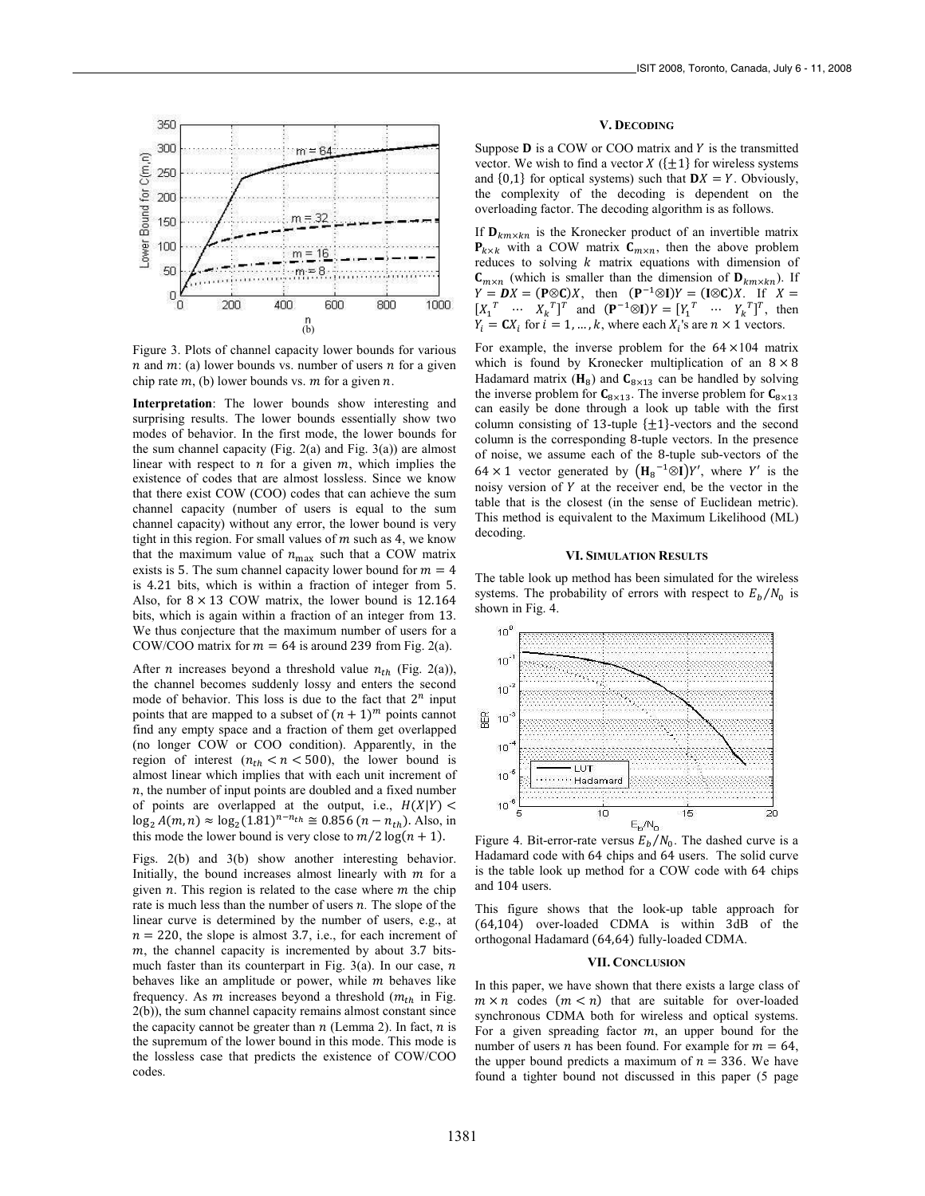

Figure 3. Plots of channel capacity lower bounds for various  $n$  and  $m$ : (a) lower bounds vs. number of users  $n$  for a given chip rate  $m$ , (b) lower bounds vs.  $m$  for a given  $n$ .

**Interpretation**: The lower bounds show interesting and surprising results. The lower bounds essentially show two modes of behavior. In the first mode, the lower bounds for the sum channel capacity (Fig. 2(a) and Fig. 3(a)) are almost linear with respect to  $n$  for a given  $m$ , which implies the existence of codes that are almost lossless. Since we know that there exist COW (COO) codes that can achieve the sum channel capacity (number of users is equal to the sum channel capacity) without any error, the lower bound is very tight in this region. For small values of  $m$  such as 4, we know that the maximum value of  $n_{\text{max}}$  such that a COW matrix exists is 5. The sum channel capacity lower bound for  $m = 4$ is 4.21 bits, which is within a fraction of integer from 5. Also, for  $8 \times 13$  COW matrix, the lower bound is 12.164 bits, which is again within a fraction of an integer from 13. We thus conjecture that the maximum number of users for a COW/COO matrix for  $m = 64$  is around 239 from Fig. 2(a).

After *n* increases beyond a threshold value  $n_{th}$  (Fig. 2(a)), the channel becomes suddenly lossy and enters the second mode of behavior. This loss is due to the fact that  $2^n$  input points that are mapped to a subset of  $(n + 1)^m$  points cannot find any empty space and a fraction of them get overlapped (no longer COW or COO condition). Apparently, in the region of interest  $(n_{th} < n < 500)$ , the lower bound is almost linear which implies that with each unit increment of  $n$ , the number of input points are doubled and a fixed number of points are overlapped at the output, i.e.,  $H(X|Y)$  <  $\log_2 A(m, n) \approx \log_2 (1.81)^{n - n_{th}} \approx 0.856 (n - n_{th})$ . Also, in this mode the lower bound is very close to  $m/2 \log(n + 1)$ .

Figs. 2(b) and 3(b) show another interesting behavior. Initially, the bound increases almost linearly with  $m$  for a given  $n$ . This region is related to the case where  $m$  the chip rate is much less than the number of users  $n$ . The slope of the linear curve is determined by the number of users, e.g., at  $n = 220$ , the slope is almost 3.7, i.e., for each increment of  $m$ , the channel capacity is incremented by about 3.7 bitsmuch faster than its counterpart in Fig. 3(a). In our case,  $n$ behaves like an amplitude or power, while  $m$  behaves like frequency. As  $m$  increases beyond a threshold  $(m_{th}$  in Fig. 2(b)), the sum channel capacity remains almost constant since the capacity cannot be greater than  $n$  (Lemma 2). In fact,  $n$  is the supremum of the lower bound in this mode. This mode is the lossless case that predicts the existence of COW/COO codes.

# **V. DECODING**

Suppose  $D$  is a COW or COO matrix and  $Y$  is the transmitted vector. We wish to find a vector  $X(\{\pm 1\})$  for wireless systems and  $\{0,1\}$  for optical systems) such that  $DX = Y$ . Obviously, the complexity of the decoding is dependent on the overloading factor. The decoding algorithm is as follows.

If  $\mathbf{D}_{km \times kn}$  is the Kronecker product of an invertible matrix  $P_{k \times k}$  with a COW matrix  $C_{m \times n}$ , then the above problem reduces to solving  $k$  matrix equations with dimension of  $C_{m \times n}$  (which is smaller than the dimension of  $D_{km \times kn}$ ). If  $Y = DX = (P \otimes C)X$ , then  $(P^{-1} \otimes I)Y = (I \otimes C)X$ . If  $X =$  $[X_1^T \cdots X_k^T]^T$  and  $(\mathbf{P}^{-1} \otimes \mathbf{I})Y = [Y_1^T \cdots Y_k^T]^T$ , then  $Y_i = \mathbf{C} X_i$  for  $i = 1, ..., k$ , where each  $X_i$ 's are  $n \times 1$  vectors.

For example, the inverse problem for the  $64 \times 104$  matrix which is found by Kronecker multiplication of an  $8 \times 8$ Hadamard matrix ( $H_8$ ) and  $C_{8 \times 13}$  can be handled by solving the inverse problem for  $C_{8\times 13}$ . The inverse problem for  $C_{8\times 13}$ can easily be done through a look up table with the first column consisting of 13-tuple  $\{\pm 1\}$ -vectors and the second column is the corresponding 8-tuple vectors. In the presence of noise, we assume each of the 8-tuple sub-vectors of the 64 × 1 vector generated by  $(H_8^{-1} \otimes I)Y'$ , where Y' is the noisy version of  $Y$  at the receiver end, be the vector in the table that is the closest (in the sense of Euclidean metric). This method is equivalent to the Maximum Likelihood (ML) decoding.

# **VI. SIMULATION RESULTS**

The table look up method has been simulated for the wireless systems. The probability of errors with respect to  $E_h/N_0$  is shown in Fig. 4.



Figure 4. Bit-error-rate versus  $E_b/N_0$ . The dashed curve is a Hadamard code with 64 chips and 64 users. The solid curve is the table look up method for a COW code with 64 chips and 104 users.

This figure shows that the look-up table approach for  $(64, 104)$  over-loaded CDMA is within  $3dB$  of the orthogonal Hadamard (64,64) fully-loaded CDMA.

## **VII. CONCLUSION**

In this paper, we have shown that there exists a large class of  $m \times n$  codes  $(m < n)$  that are suitable for over-loaded synchronous CDMA both for wireless and optical systems. For a given spreading factor  $m$ , an upper bound for the number of users *n* has been found. For example for  $m = 64$ , the upper bound predicts a maximum of  $n = 336$ . We have found a tighter bound not discussed in this paper (5 page